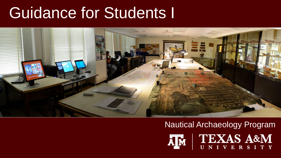#### Guidance for Students I



#### Nautical Archaeology Program

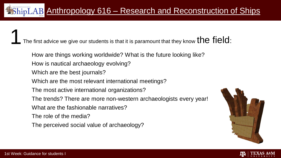The first advice we give our students is that it is paramount that they know  ${\sf the}$   ${\sf fuel}$  :

- How are things working worldwide? What is the future looking like?
- How is nautical archaeology evolving?
- Which are the best journals?
- Which are the most relevant international meetings?
- The most active international organizations?
- The trends? There are more non-western archaeologists every year!
- What are the fashionable narratives?
- The role of the media?
- The perceived social value of archaeology?



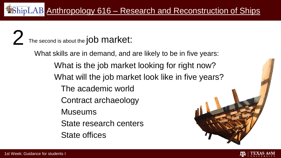The second is about the job market:

What skills are in demand, and are likely to be in five years: What is the job market looking for right now? What will the job market look like in five years? The academic world Contract archaeology Museums State research centers State offices

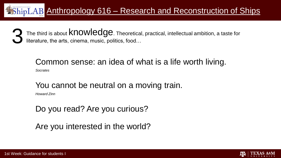The third is about  $\mathsf{knorm}$   $\mathsf{redge}$ . Theoretical, practical, intellectual ambition, a taste for literature, the arts, cinema, music, politics, food… 3

Anthropology 616 – Research and Reconstruction of Ships

#### Common sense: an idea of what is a life worth living.

*Socrates* 

#### You cannot be neutral on a moving train.

*Howard Zinn*

#### Do you read? Are you curious?

Are you interested in the world?

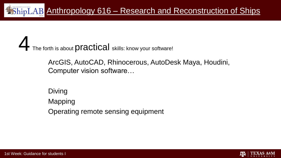The forth is about **Practical** skills: know your software!

ArcGIS, AutoCAD, Rhinocerous, AutoDesk Maya, Houdini, Computer vision software…

Diving Mapping Operating remote sensing equipment

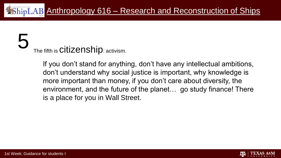#### 5 The fifth is **Citizenship:** activism.

If you don't stand for anything, don't have any intellectual ambitions, don't understand why social justice is important, why knowledge is more important than money, if you don't care about diversity, the environment, and the future of the planet… go study finance! There is a place for you in Wall Street.

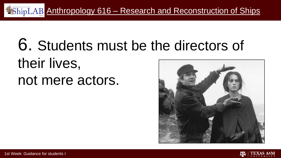

#### 6. Students must be the directors of their lives, not mere actors.



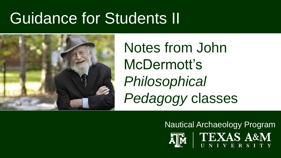#### Guidance for Students II



Notes from John McDermott's *Philosophical Pedagogy* classes

Nautical Archaeology Program

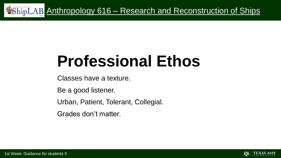

## **Professional Ethos**

Classes have a texture.

Be a good listener.

Urban, Patient, Tolerant, Collegial.

Grades don't matter.

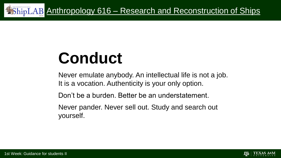

## **Conduct**

Never emulate anybody. An intellectual life is not a job. It is a vocation. Authenticity is your only option.

Don't be a burden. Better be an understatement.

Never pander. Never sell out. Study and search out yourself.

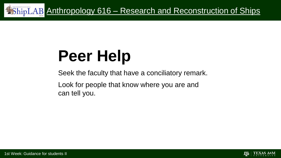

## **Peer Help**

Seek the faculty that have a conciliatory remark.

Look for people that know where you are and can tell you.

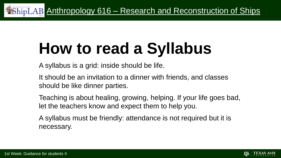# **How to read a Syllabus**

A syllabus is a grid: inside should be life.

It should be an invitation to a dinner with friends, and classes should be like dinner parties.

Teaching is about healing, growing, helping. If your life goes bad, let the teachers know and expect them to help you.

A syllabus must be friendly: attendance is not required but it is necessary.

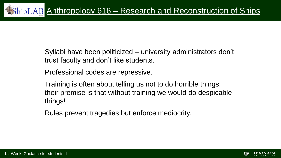Syllabi have been politicized – university administrators don't trust faculty and don't like students.

Professional codes are repressive.

Training is often about telling us not to do horrible things: their premise is that without training we would do despicable things!

Rules prevent tragedies but enforce mediocrity.

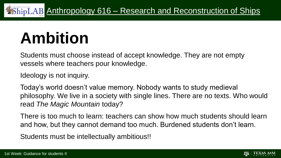## **Ambition**

Students must choose instead of accept knowledge. They are not empty vessels where teachers pour knowledge.

Ideology is not inquiry.

Today's world doesn't value memory. Nobody wants to study medieval philosophy. We live in a society with single lines. There are no texts. Who would read *The Magic Mountain* today?

There is too much to learn: teachers can show how much students should learn and how, but they cannot demand too much. Burdened students don't learn.

Students must be intellectually ambitious!!

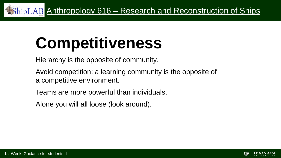# **Competitiveness**

Hierarchy is the opposite of community.

- Avoid competition: a learning community is the opposite of a competitive environment.
- Teams are more powerful than individuals.
- Alone you will all loose (look around).

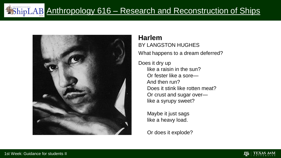

#### **Harlem**

BY LANGSTON HUGHES What happens to a dream deferred?

Does it dry up like a raisin in the sun? Or fester like a sore— And then run? Does it stink like rotten meat? Or crust and sugar over like a syrupy sweet?

> Maybe it just sags like a heavy load.

Or does it explode?